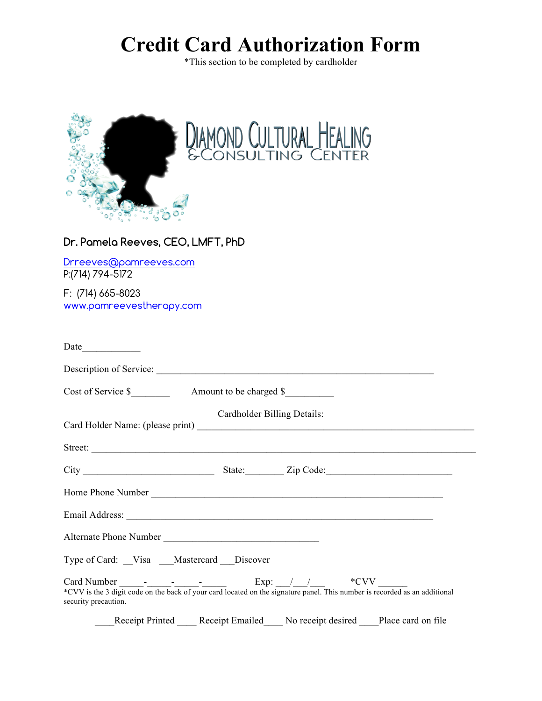## **Credit Card Authorization Form**

\*This section to be completed by cardholder



## **Dr. Pamela Reeves, CEO, LMFT, PhD**

Drreeves@pamreeves.com P:(714) 794-5172

F: (714) 665-8023 www.pamreevestherapy.com

| Date                 |                                                                                                                                                                                                                                                                                                                                                                      |                                            |  |
|----------------------|----------------------------------------------------------------------------------------------------------------------------------------------------------------------------------------------------------------------------------------------------------------------------------------------------------------------------------------------------------------------|--------------------------------------------|--|
|                      | Description of Service:                                                                                                                                                                                                                                                                                                                                              |                                            |  |
|                      |                                                                                                                                                                                                                                                                                                                                                                      | Cost of Service \$ Amount to be charged \$ |  |
|                      |                                                                                                                                                                                                                                                                                                                                                                      | Cardholder Billing Details:                |  |
|                      | Street:                                                                                                                                                                                                                                                                                                                                                              |                                            |  |
|                      |                                                                                                                                                                                                                                                                                                                                                                      |                                            |  |
|                      | Home Phone Number                                                                                                                                                                                                                                                                                                                                                    |                                            |  |
|                      |                                                                                                                                                                                                                                                                                                                                                                      |                                            |  |
|                      | Alternate Phone Number                                                                                                                                                                                                                                                                                                                                               |                                            |  |
|                      | Type of Card: Visa Mastercard Discover                                                                                                                                                                                                                                                                                                                               |                                            |  |
| security precaution. | Card Number $\frac{1}{\text{EVD}}$ $\frac{1}{\text{EVD}}$ $\frac{1}{\text{EVD}}$ $\frac{1}{\text{EVD}}$ $\frac{1}{\text{EVD}}$ $\frac{1}{\text{EVD}}$ $\frac{1}{\text{EUV}}$ $\frac{1}{\text{EUV}}$ $\frac{1}{\text{EUV}}$ $\frac{1}{\text{EUV}}$ $\frac{1}{\text{EUV}}$ $\frac{1}{\text{EUV}}$ $\frac{1}{\text{EUV}}$ $\frac{1}{\text{EUV}}$ $\frac{1}{\text{EUV}}$ |                                            |  |
|                      | Receipt Printed Receipt Emailed No receipt desired Place card on file                                                                                                                                                                                                                                                                                                |                                            |  |